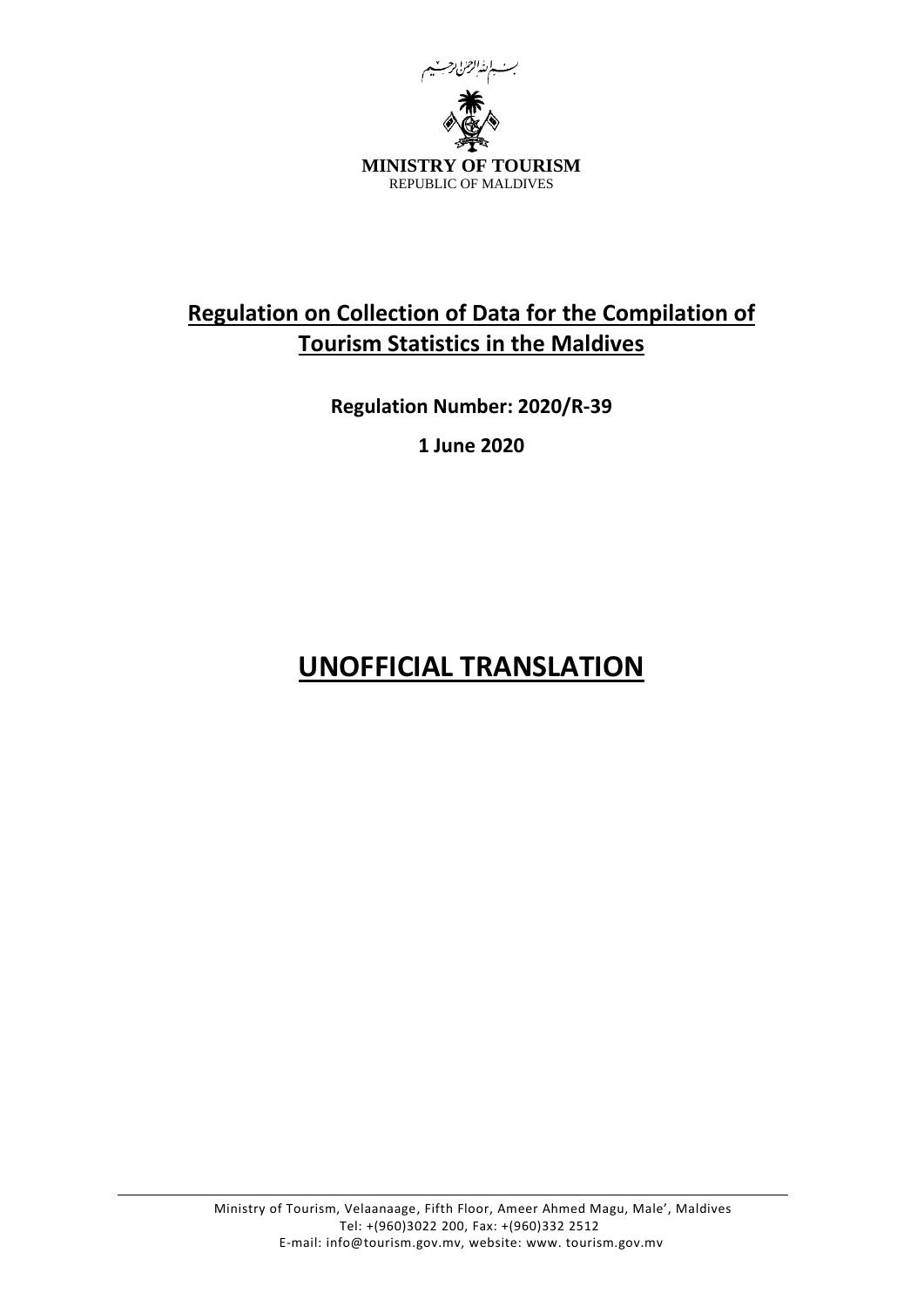

# **Regulation on Collection of Data for the Compilation of Tourism Statistics in the Maldives**

**Regulation Number: 2020/R-39**

**1 June 2020**

# **UNOFFICIAL TRANSLATION**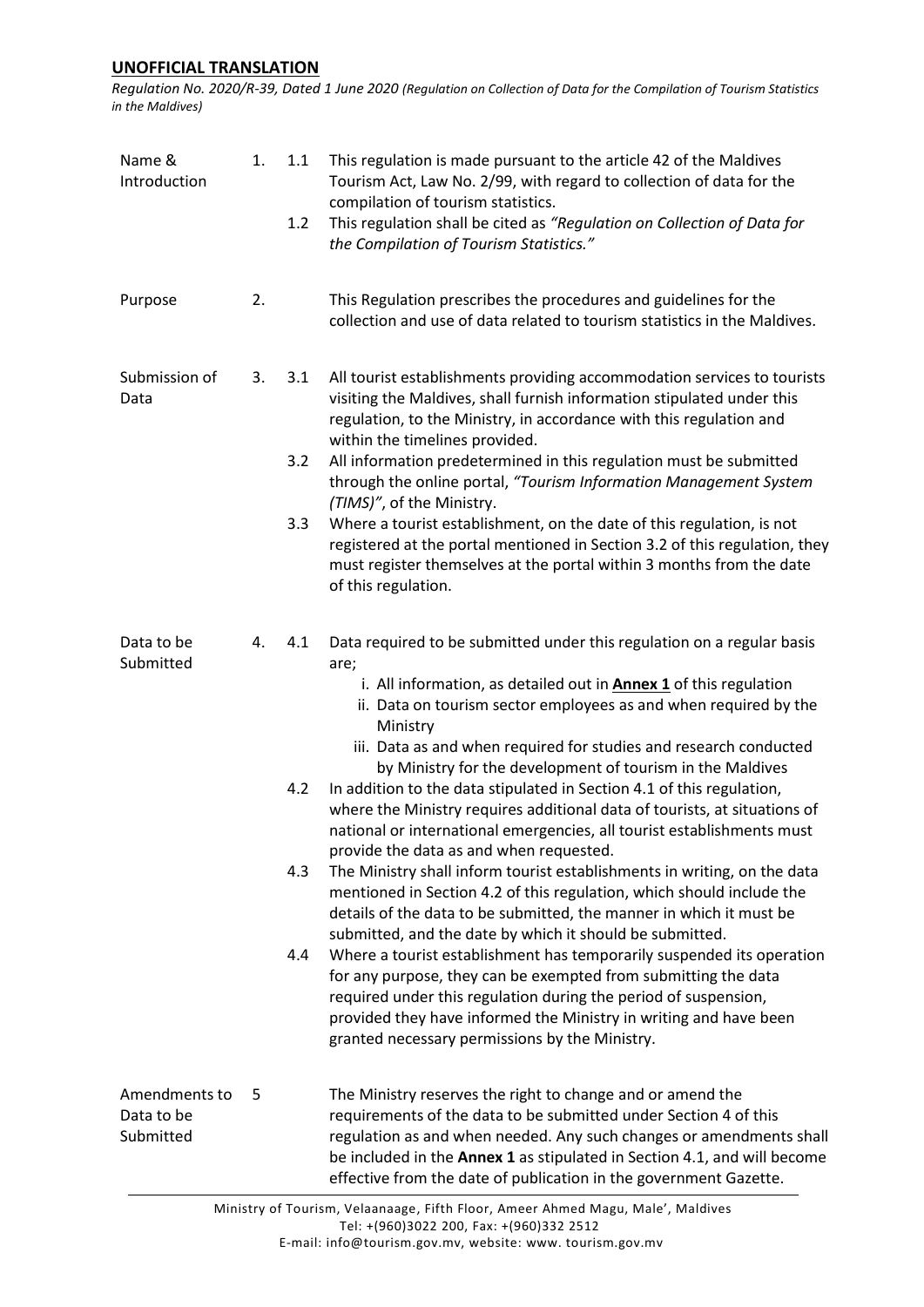*Regulation No. 2020/R-39, Dated 1 June 2020 (Regulation on Collection of Data for the Compilation of Tourism Statistics in the Maldives)*

| Name &<br>Introduction                   | 1. | 1.1<br>1.2               | This regulation is made pursuant to the article 42 of the Maldives<br>Tourism Act, Law No. 2/99, with regard to collection of data for the<br>compilation of tourism statistics.<br>This regulation shall be cited as "Regulation on Collection of Data for<br>the Compilation of Tourism Statistics."                                                                                                                                                                                                                                                                                                                                                                                                                                                                                                                                                                                                                                                                                                                                                                                                                                                                                                                                                                                |
|------------------------------------------|----|--------------------------|---------------------------------------------------------------------------------------------------------------------------------------------------------------------------------------------------------------------------------------------------------------------------------------------------------------------------------------------------------------------------------------------------------------------------------------------------------------------------------------------------------------------------------------------------------------------------------------------------------------------------------------------------------------------------------------------------------------------------------------------------------------------------------------------------------------------------------------------------------------------------------------------------------------------------------------------------------------------------------------------------------------------------------------------------------------------------------------------------------------------------------------------------------------------------------------------------------------------------------------------------------------------------------------|
| Purpose                                  | 2. |                          | This Regulation prescribes the procedures and guidelines for the<br>collection and use of data related to tourism statistics in the Maldives.                                                                                                                                                                                                                                                                                                                                                                                                                                                                                                                                                                                                                                                                                                                                                                                                                                                                                                                                                                                                                                                                                                                                         |
| Submission of<br>Data                    | 3. | 3.1<br>3.2               | All tourist establishments providing accommodation services to tourists<br>visiting the Maldives, shall furnish information stipulated under this<br>regulation, to the Ministry, in accordance with this regulation and<br>within the timelines provided.<br>All information predetermined in this regulation must be submitted<br>through the online portal, "Tourism Information Management System                                                                                                                                                                                                                                                                                                                                                                                                                                                                                                                                                                                                                                                                                                                                                                                                                                                                                 |
|                                          |    | 3.3                      | (TIMS)", of the Ministry.<br>Where a tourist establishment, on the date of this regulation, is not<br>registered at the portal mentioned in Section 3.2 of this regulation, they<br>must register themselves at the portal within 3 months from the date<br>of this regulation.                                                                                                                                                                                                                                                                                                                                                                                                                                                                                                                                                                                                                                                                                                                                                                                                                                                                                                                                                                                                       |
| Data to be<br>Submitted                  | 4. | 4.1<br>4.2<br>4.3<br>4.4 | Data required to be submitted under this regulation on a regular basis<br>are;<br>i. All information, as detailed out in <b>Annex 1</b> of this regulation<br>ii. Data on tourism sector employees as and when required by the<br>Ministry<br>iii. Data as and when required for studies and research conducted<br>by Ministry for the development of tourism in the Maldives<br>In addition to the data stipulated in Section 4.1 of this regulation,<br>where the Ministry requires additional data of tourists, at situations of<br>national or international emergencies, all tourist establishments must<br>provide the data as and when requested.<br>The Ministry shall inform tourist establishments in writing, on the data<br>mentioned in Section 4.2 of this regulation, which should include the<br>details of the data to be submitted, the manner in which it must be<br>submitted, and the date by which it should be submitted.<br>Where a tourist establishment has temporarily suspended its operation<br>for any purpose, they can be exempted from submitting the data<br>required under this regulation during the period of suspension,<br>provided they have informed the Ministry in writing and have been<br>granted necessary permissions by the Ministry. |
| Amendments to<br>Data to be<br>Submitted | 5  |                          | The Ministry reserves the right to change and or amend the<br>requirements of the data to be submitted under Section 4 of this<br>regulation as and when needed. Any such changes or amendments shall<br>be included in the Annex 1 as stipulated in Section 4.1, and will become<br>effective from the date of publication in the government Gazette.                                                                                                                                                                                                                                                                                                                                                                                                                                                                                                                                                                                                                                                                                                                                                                                                                                                                                                                                |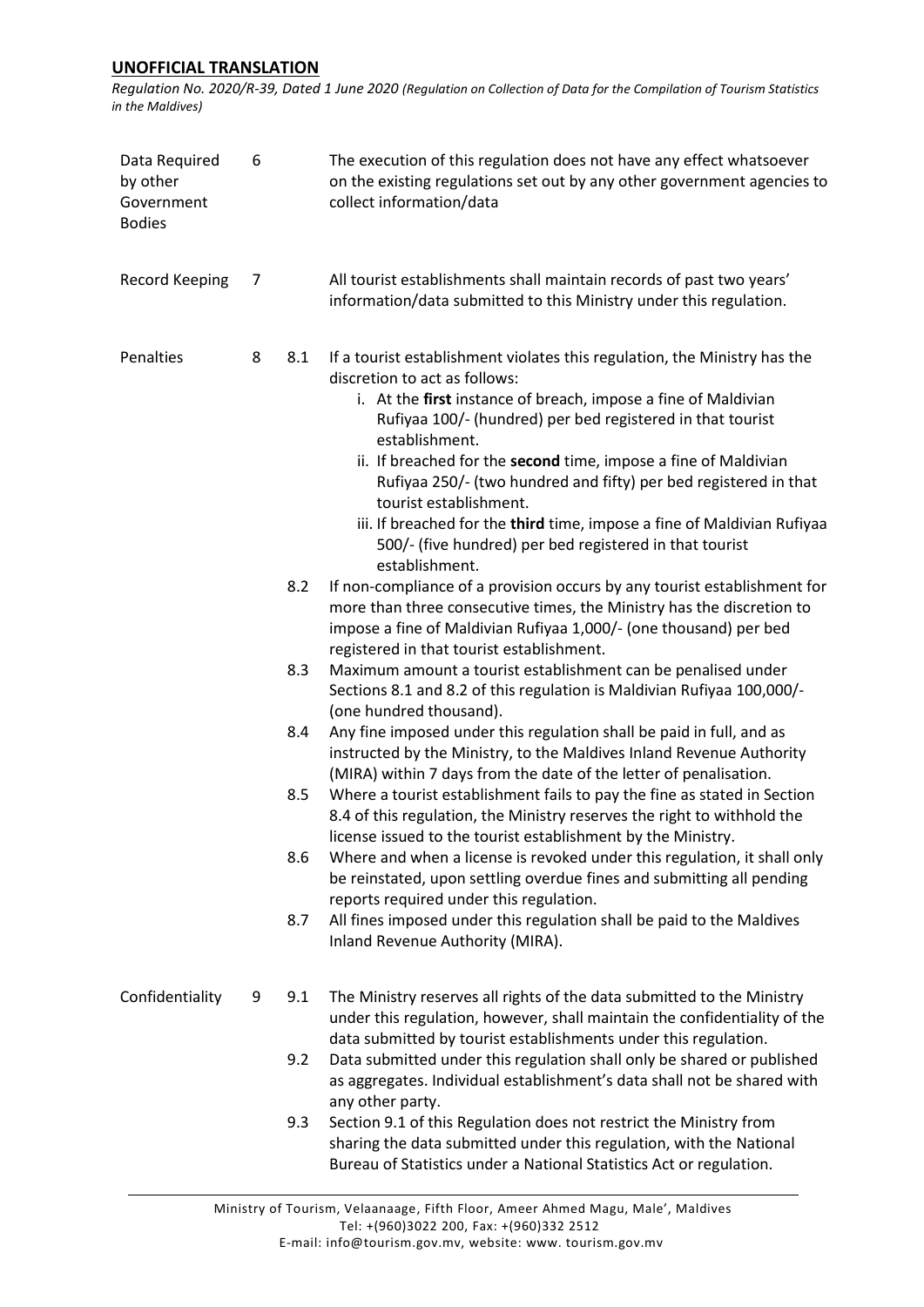*Regulation No. 2020/R-39, Dated 1 June 2020 (Regulation on Collection of Data for the Compilation of Tourism Statistics in the Maldives)*

| Data Required<br>by other<br>Government<br><b>Bodies</b> | 6 |     | The execution of this regulation does not have any effect whatsoever<br>on the existing regulations set out by any other government agencies to<br>collect information/data                                                                                                                                                                                                                                                                                                                                                                                                           |
|----------------------------------------------------------|---|-----|---------------------------------------------------------------------------------------------------------------------------------------------------------------------------------------------------------------------------------------------------------------------------------------------------------------------------------------------------------------------------------------------------------------------------------------------------------------------------------------------------------------------------------------------------------------------------------------|
| <b>Record Keeping</b>                                    | 7 |     | All tourist establishments shall maintain records of past two years'<br>information/data submitted to this Ministry under this regulation.                                                                                                                                                                                                                                                                                                                                                                                                                                            |
| Penalties                                                | 8 | 8.1 | If a tourist establishment violates this regulation, the Ministry has the<br>discretion to act as follows:<br>i. At the first instance of breach, impose a fine of Maldivian<br>Rufiyaa 100/- (hundred) per bed registered in that tourist<br>establishment.<br>ii. If breached for the second time, impose a fine of Maldivian<br>Rufiyaa 250/- (two hundred and fifty) per bed registered in that<br>tourist establishment.<br>iii. If breached for the third time, impose a fine of Maldivian Rufiyaa<br>500/- (five hundred) per bed registered in that tourist<br>establishment. |
|                                                          |   | 8.2 | If non-compliance of a provision occurs by any tourist establishment for<br>more than three consecutive times, the Ministry has the discretion to<br>impose a fine of Maldivian Rufiyaa 1,000/- (one thousand) per bed<br>registered in that tourist establishment.                                                                                                                                                                                                                                                                                                                   |
|                                                          |   | 8.3 | Maximum amount a tourist establishment can be penalised under<br>Sections 8.1 and 8.2 of this regulation is Maldivian Rufiyaa 100,000/-<br>(one hundred thousand).                                                                                                                                                                                                                                                                                                                                                                                                                    |
|                                                          |   | 8.4 | Any fine imposed under this regulation shall be paid in full, and as<br>instructed by the Ministry, to the Maldives Inland Revenue Authority<br>(MIRA) within 7 days from the date of the letter of penalisation.                                                                                                                                                                                                                                                                                                                                                                     |
|                                                          |   | 8.5 | Where a tourist establishment fails to pay the fine as stated in Section<br>8.4 of this regulation, the Ministry reserves the right to withhold the<br>license issued to the tourist establishment by the Ministry.                                                                                                                                                                                                                                                                                                                                                                   |
|                                                          |   | 8.6 | Where and when a license is revoked under this regulation, it shall only<br>be reinstated, upon settling overdue fines and submitting all pending<br>reports required under this regulation.                                                                                                                                                                                                                                                                                                                                                                                          |
|                                                          |   | 8.7 | All fines imposed under this regulation shall be paid to the Maldives<br>Inland Revenue Authority (MIRA).                                                                                                                                                                                                                                                                                                                                                                                                                                                                             |
| Confidentiality                                          | 9 | 9.1 | The Ministry reserves all rights of the data submitted to the Ministry<br>under this regulation, however, shall maintain the confidentiality of the<br>data submitted by tourist establishments under this regulation.                                                                                                                                                                                                                                                                                                                                                                |
|                                                          |   | 9.2 | Data submitted under this regulation shall only be shared or published<br>as aggregates. Individual establishment's data shall not be shared with<br>any other party.                                                                                                                                                                                                                                                                                                                                                                                                                 |
|                                                          |   | 9.3 | Section 9.1 of this Regulation does not restrict the Ministry from<br>sharing the data submitted under this regulation, with the National<br>Bureau of Statistics under a National Statistics Act or regulation.                                                                                                                                                                                                                                                                                                                                                                      |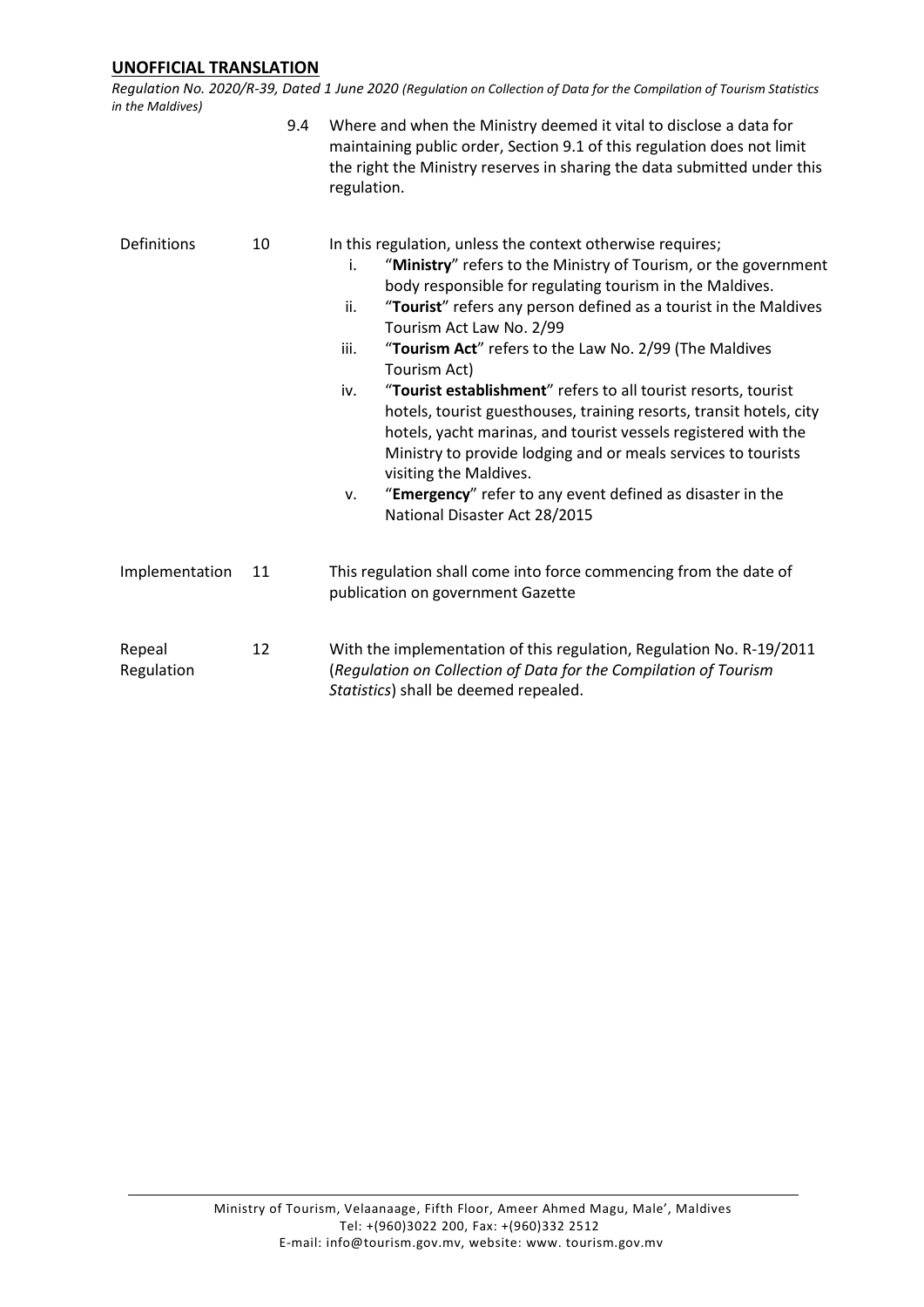*Regulation No. 2020/R-39, Dated 1 June 2020 (Regulation on Collection of Data for the Compilation of Tourism Statistics in the Maldives)*

|                      |    | 9.4<br>Where and when the Ministry deemed it vital to disclose a data for<br>maintaining public order, Section 9.1 of this regulation does not limit<br>the right the Ministry reserves in sharing the data submitted under this<br>regulation.                                                                                                                                                                                                                                                                                                                                                                                                                                                                                                                                                           |  |
|----------------------|----|-----------------------------------------------------------------------------------------------------------------------------------------------------------------------------------------------------------------------------------------------------------------------------------------------------------------------------------------------------------------------------------------------------------------------------------------------------------------------------------------------------------------------------------------------------------------------------------------------------------------------------------------------------------------------------------------------------------------------------------------------------------------------------------------------------------|--|
| Definitions          | 10 | In this regulation, unless the context otherwise requires;<br>"Ministry" refers to the Ministry of Tourism, or the government<br>i.<br>body responsible for regulating tourism in the Maldives.<br>"Tourist" refers any person defined as a tourist in the Maldives<br>ii.<br>Tourism Act Law No. 2/99<br>"Tourism Act" refers to the Law No. 2/99 (The Maldives<br>iii.<br>Tourism Act)<br>"Tourist establishment" refers to all tourist resorts, tourist<br>iv.<br>hotels, tourist guesthouses, training resorts, transit hotels, city<br>hotels, yacht marinas, and tourist vessels registered with the<br>Ministry to provide lodging and or meals services to tourists<br>visiting the Maldives.<br>"Emergency" refer to any event defined as disaster in the<br>v.<br>National Disaster Act 28/2015 |  |
| Implementation       | 11 | This regulation shall come into force commencing from the date of<br>publication on government Gazette                                                                                                                                                                                                                                                                                                                                                                                                                                                                                                                                                                                                                                                                                                    |  |
| Repeal<br>Regulation | 12 | With the implementation of this regulation, Regulation No. R-19/2011<br>(Regulation on Collection of Data for the Compilation of Tourism<br>Statistics) shall be deemed repealed.                                                                                                                                                                                                                                                                                                                                                                                                                                                                                                                                                                                                                         |  |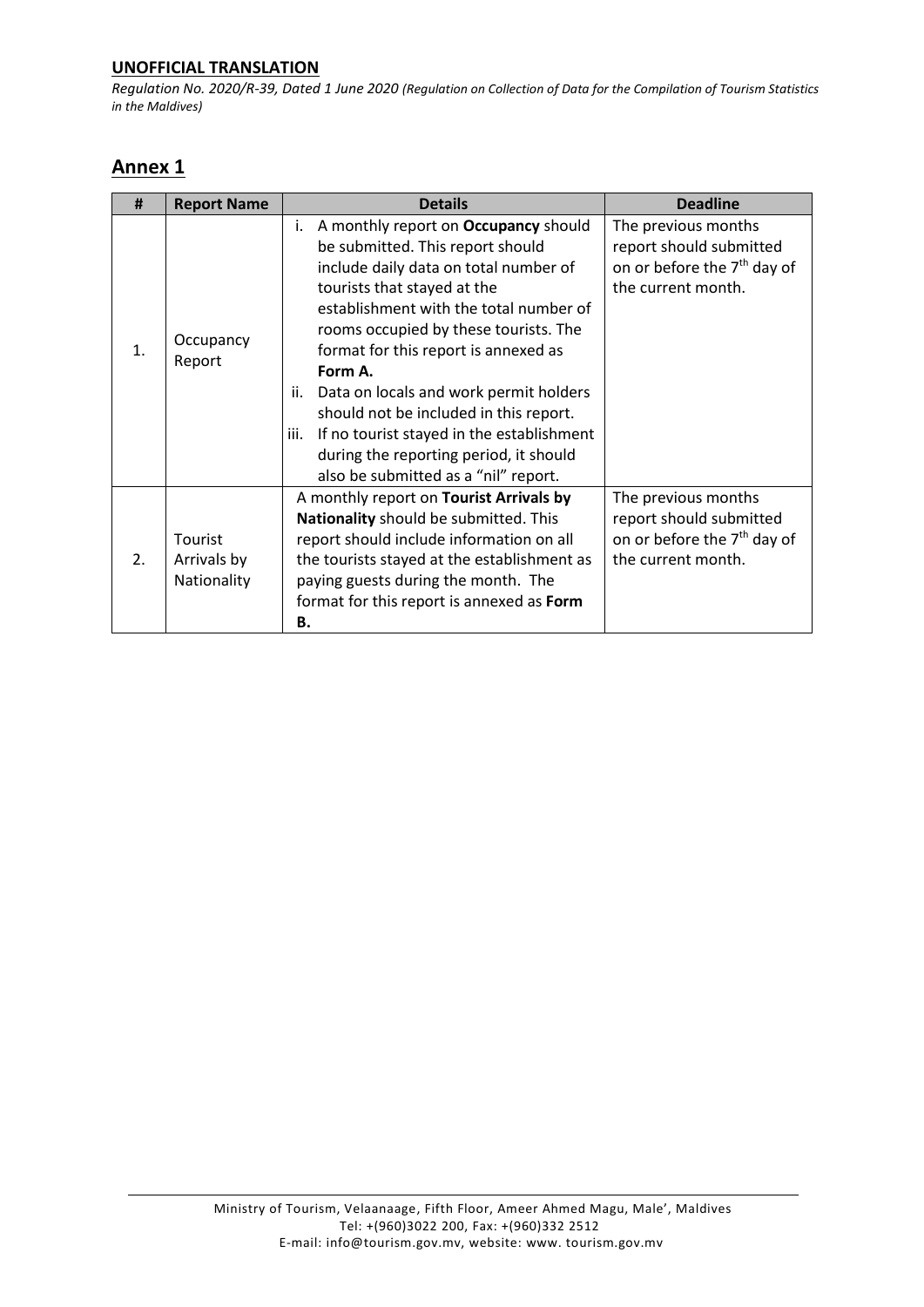*Regulation No. 2020/R-39, Dated 1 June 2020 (Regulation on Collection of Data for the Compilation of Tourism Statistics in the Maldives)*

# **Annex 1**

| #              | <b>Report Name</b>                    | <b>Details</b>                                                                                                                                                                                                                                                                                                                                                                                                                                                                                                                 | <b>Deadline</b>                                                                                                 |
|----------------|---------------------------------------|--------------------------------------------------------------------------------------------------------------------------------------------------------------------------------------------------------------------------------------------------------------------------------------------------------------------------------------------------------------------------------------------------------------------------------------------------------------------------------------------------------------------------------|-----------------------------------------------------------------------------------------------------------------|
| $\mathbf{1}$ . | Occupancy<br>Report                   | A monthly report on Occupancy should<br>i.<br>be submitted. This report should<br>include daily data on total number of<br>tourists that stayed at the<br>establishment with the total number of<br>rooms occupied by these tourists. The<br>format for this report is annexed as<br>Form A.<br>Data on locals and work permit holders<br>ii.<br>should not be included in this report.<br>If no tourist stayed in the establishment<br>iii.<br>during the reporting period, it should<br>also be submitted as a "nil" report. | The previous months<br>report should submitted<br>on or before the 7 <sup>th</sup> day of<br>the current month. |
| 2.             | Tourist<br>Arrivals by<br>Nationality | A monthly report on Tourist Arrivals by<br>Nationality should be submitted. This<br>report should include information on all<br>the tourists stayed at the establishment as<br>paying guests during the month. The<br>format for this report is annexed as Form<br>Β.                                                                                                                                                                                                                                                          | The previous months<br>report should submitted<br>on or before the 7 <sup>th</sup> day of<br>the current month. |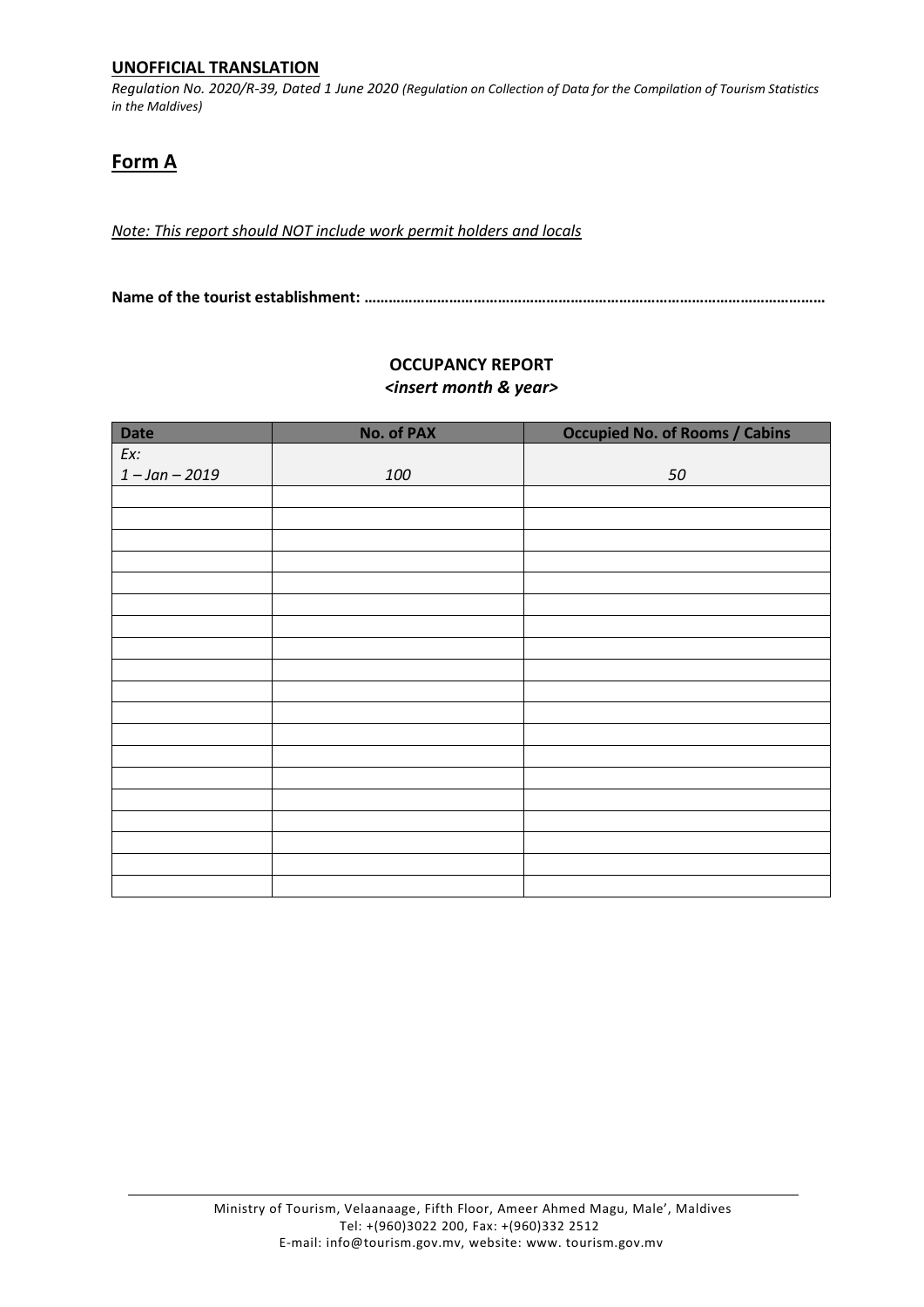*Regulation No. 2020/R-39, Dated 1 June 2020 (Regulation on Collection of Data for the Compilation of Tourism Statistics in the Maldives)*

# **Form A**

*Note: This report should NOT include work permit holders and locals* 

**Name of the tourist establishment: ……………………………………………………………………………………………………**

| <b>Date</b>      | <b>No. of PAX</b> | <b>Occupied No. of Rooms / Cabins</b> |
|------------------|-------------------|---------------------------------------|
| Ex:              |                   |                                       |
| $1 - Jan - 2019$ |                   |                                       |
|                  | 100               | 50                                    |
|                  |                   |                                       |
|                  |                   |                                       |
|                  |                   |                                       |
|                  |                   |                                       |
|                  |                   |                                       |
|                  |                   |                                       |
|                  |                   |                                       |
|                  |                   |                                       |
|                  |                   |                                       |
|                  |                   |                                       |
|                  |                   |                                       |
|                  |                   |                                       |
|                  |                   |                                       |
|                  |                   |                                       |
|                  |                   |                                       |
|                  |                   |                                       |
|                  |                   |                                       |
|                  |                   |                                       |
|                  |                   |                                       |
|                  |                   |                                       |

#### **OCCUPANCY REPORT** *<insert month & year>*